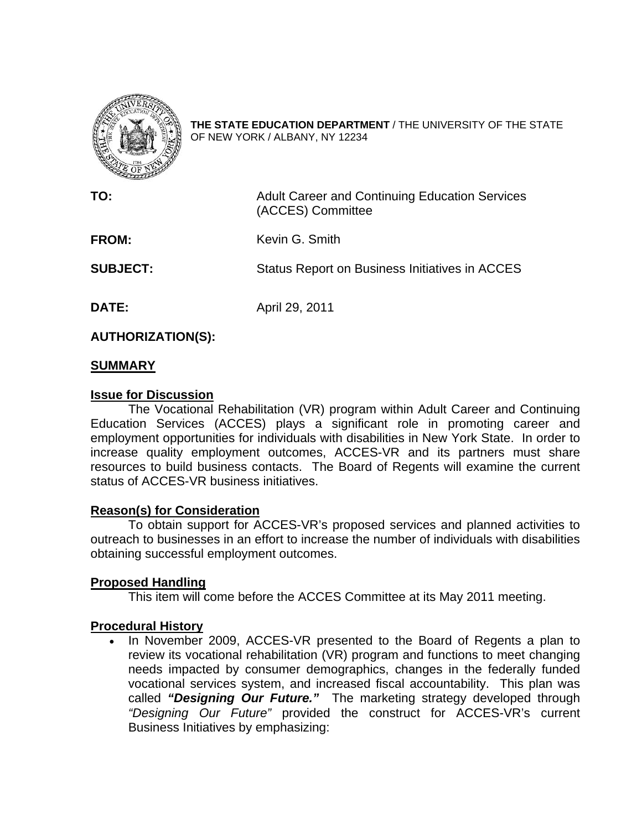

**THE STATE EDUCATION DEPARTMENT** / THE UNIVERSITY OF THE STATE OF NEW YORK / ALBANY, NY 12234

**TO: Adult Career and Continuing Education Services** (ACCES) Committee **FROM:** Kevin G. Smith **SUBJECT:** Status Report on Business Initiatives in ACCES **DATE:** April 29, 2011

**AUTHORIZATION(S):** 

### **SUMMARY**

#### **Issue for Discussion**

The Vocational Rehabilitation (VR) program within Adult Career and Continuing Education Services (ACCES) plays a significant role in promoting career and employment opportunities for individuals with disabilities in New York State. In order to increase quality employment outcomes, ACCES-VR and its partners must share resources to build business contacts. The Board of Regents will examine the current status of ACCES-VR business initiatives.

### **Reason(s) for Consideration**

To obtain support for ACCES-VR's proposed services and planned activities to outreach to businesses in an effort to increase the number of individuals with disabilities obtaining successful employment outcomes.

### **Proposed Handling**

This item will come before the ACCES Committee at its May 2011 meeting.

### **Procedural History**

• In November 2009, ACCES-VR presented to the Board of Regents a plan to review its vocational rehabilitation (VR) program and functions to meet changing needs impacted by consumer demographics, changes in the federally funded vocational services system, and increased fiscal accountability. This plan was called *"Designing Our Future."* The marketing strategy developed through *"Designing Our Future"* provided the construct for ACCES-VR's current Business Initiatives by emphasizing: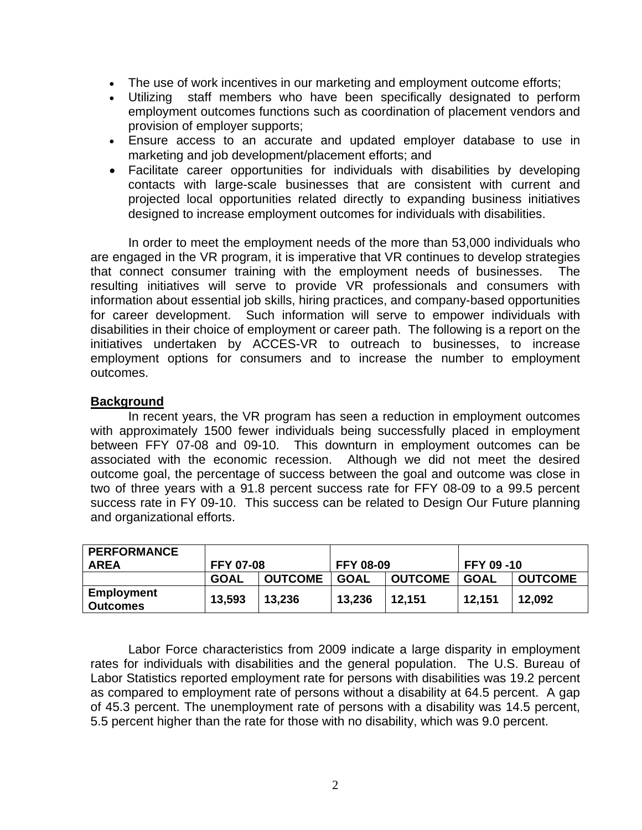- The use of work incentives in our marketing and employment outcome efforts;
- Utilizing staff members who have been specifically designated to perform employment outcomes functions such as coordination of placement vendors and provision of employer supports;
- Ensure access to an accurate and updated employer database to use in marketing and job development/placement efforts; and
- Facilitate career opportunities for individuals with disabilities by developing contacts with large-scale businesses that are consistent with current and projected local opportunities related directly to expanding business initiatives designed to increase employment outcomes for individuals with disabilities.

In order to meet the employment needs of the more than 53,000 individuals who are engaged in the VR program, it is imperative that VR continues to develop strategies that connect consumer training with the employment needs of businesses. The resulting initiatives will serve to provide VR professionals and consumers with information about essential job skills, hiring practices, and company-based opportunities for career development. Such information will serve to empower individuals with disabilities in their choice of employment or career path. The following is a report on the initiatives undertaken by ACCES-VR to outreach to businesses, to increase employment options for consumers and to increase the number to employment outcomes.

#### **Background**

In recent years, the VR program has seen a reduction in employment outcomes with approximately 1500 fewer individuals being successfully placed in employment between FFY 07-08 and 09-10. This downturn in employment outcomes can be associated with the economic recession. Although we did not meet the desired outcome goal, the percentage of success between the goal and outcome was close in two of three years with a 91.8 percent success rate for FFY 08-09 to a 99.5 percent success rate in FY 09-10. This success can be related to Design Our Future planning and organizational efforts.

| <b>PERFORMANCE</b>                   |                  |                |                  |                |                   |                |
|--------------------------------------|------------------|----------------|------------------|----------------|-------------------|----------------|
| <b>AREA</b>                          | <b>FFY 07-08</b> |                | <b>FFY 08-09</b> |                | <b>FFY 09 -10</b> |                |
|                                      | <b>GOAL</b>      | <b>OUTCOME</b> | GOAL             | <b>OUTCOME</b> | GOAL              | <b>OUTCOME</b> |
| <b>Employment</b><br><b>Outcomes</b> | 13,593           | 13,236         | 13,236           | 12,151         | 12,151            | 12,092         |

Labor Force characteristics from 2009 indicate a large disparity in employment rates for individuals with disabilities and the general population. The U.S. Bureau of Labor Statistics reported employment rate for persons with disabilities was 19.2 percent as compared to employment rate of persons without a disability at 64.5 percent. A gap of 45.3 percent. The unemployment rate of persons with a disability was 14.5 percent, 5.5 percent higher than the rate for those with no disability, which was 9.0 percent.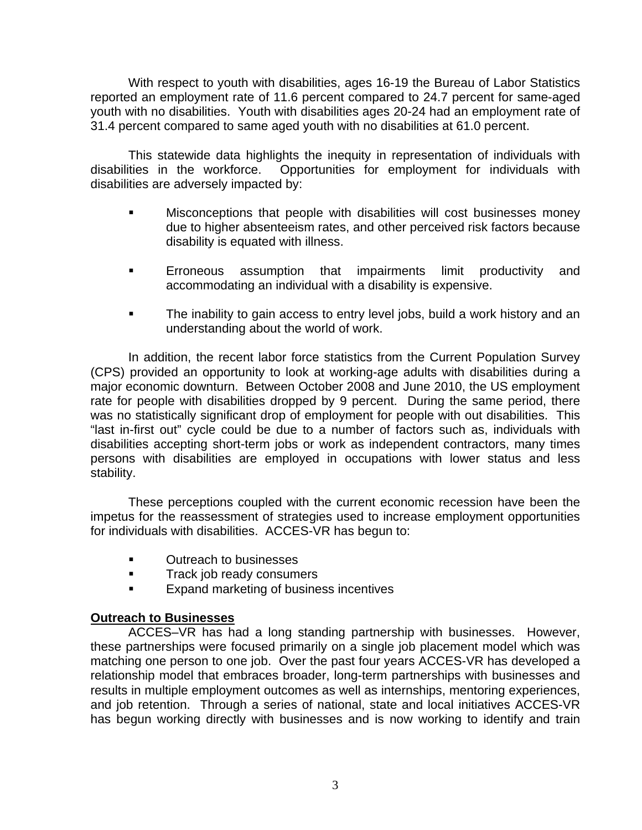With respect to youth with disabilities, ages 16-19 the Bureau of Labor Statistics reported an employment rate of 11.6 percent compared to 24.7 percent for same-aged youth with no disabilities. Youth with disabilities ages 20-24 had an employment rate of 31.4 percent compared to same aged youth with no disabilities at 61.0 percent.

This statewide data highlights the inequity in representation of individuals with disabilities in the workforce. Opportunities for employment for individuals with disabilities are adversely impacted by:

- Misconceptions that people with disabilities will cost businesses money due to higher absenteeism rates, and other perceived risk factors because disability is equated with illness.
- Erroneous assumption that impairments limit productivity and accommodating an individual with a disability is expensive.
- The inability to gain access to entry level jobs, build a work history and an understanding about the world of work.

In addition, the recent labor force statistics from the Current Population Survey (CPS) provided an opportunity to look at working-age adults with disabilities during a major economic downturn. Between October 2008 and June 2010, the US employment rate for people with disabilities dropped by 9 percent. During the same period, there was no statistically significant drop of employment for people with out disabilities. This "last in-first out" cycle could be due to a number of factors such as, individuals with disabilities accepting short-term jobs or work as independent contractors, many times persons with disabilities are employed in occupations with lower status and less stability.

These perceptions coupled with the current economic recession have been the impetus for the reassessment of strategies used to increase employment opportunities for individuals with disabilities. ACCES-VR has begun to:

- **EXECUTE:** Outreach to businesses
- **Track job ready consumers**
- **Expand marketing of business incentives**

### **Outreach to Businesses**

ACCES–VR has had a long standing partnership with businesses. However, these partnerships were focused primarily on a single job placement model which was matching one person to one job. Over the past four years ACCES-VR has developed a relationship model that embraces broader, long-term partnerships with businesses and results in multiple employment outcomes as well as internships, mentoring experiences, and job retention. Through a series of national, state and local initiatives ACCES-VR has begun working directly with businesses and is now working to identify and train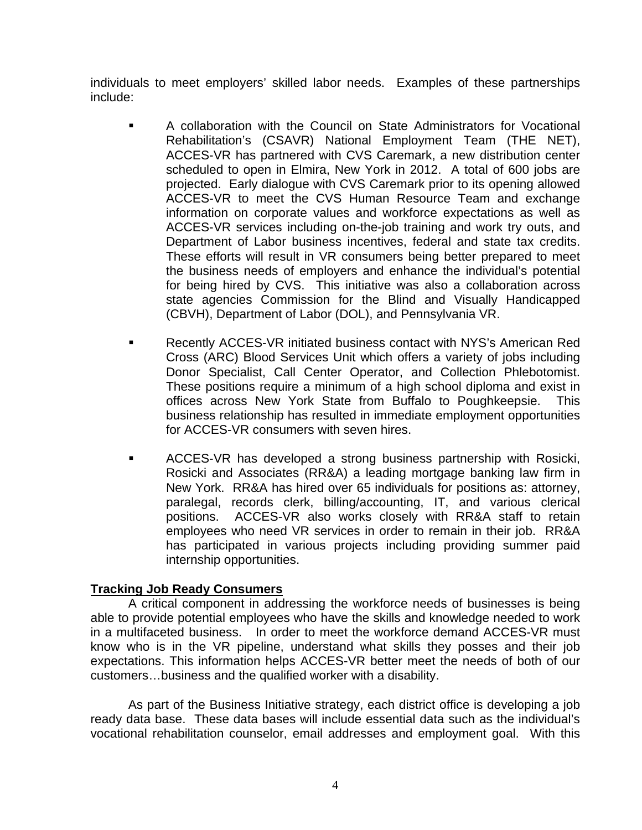individuals to meet employers' skilled labor needs. Examples of these partnerships include:

- A collaboration with the Council on State Administrators for Vocational Rehabilitation's (CSAVR) National Employment Team (THE NET), ACCES-VR has partnered with CVS Caremark, a new distribution center scheduled to open in Elmira, New York in 2012. A total of 600 jobs are projected. Early dialogue with CVS Caremark prior to its opening allowed ACCES-VR to meet the CVS Human Resource Team and exchange information on corporate values and workforce expectations as well as ACCES-VR services including on-the-job training and work try outs, and Department of Labor business incentives, federal and state tax credits. These efforts will result in VR consumers being better prepared to meet the business needs of employers and enhance the individual's potential for being hired by CVS. This initiative was also a collaboration across state agencies Commission for the Blind and Visually Handicapped (CBVH), Department of Labor (DOL), and Pennsylvania VR.
- Recently ACCES-VR initiated business contact with NYS's American Red Cross (ARC) Blood Services Unit which offers a variety of jobs including Donor Specialist, Call Center Operator, and Collection Phlebotomist. These positions require a minimum of a high school diploma and exist in offices across New York State from Buffalo to Poughkeepsie. This business relationship has resulted in immediate employment opportunities for ACCES-VR consumers with seven hires.
- ACCES-VR has developed a strong business partnership with Rosicki, Rosicki and Associates (RR&A) a leading mortgage banking law firm in New York. RR&A has hired over 65 individuals for positions as: attorney, paralegal, records clerk, billing/accounting, IT, and various clerical positions. ACCES-VR also works closely with RR&A staff to retain employees who need VR services in order to remain in their job. RR&A has participated in various projects including providing summer paid internship opportunities.

### **Tracking Job Ready Consumers**

A critical component in addressing the workforce needs of businesses is being able to provide potential employees who have the skills and knowledge needed to work in a multifaceted business. In order to meet the workforce demand ACCES-VR must know who is in the VR pipeline, understand what skills they posses and their job expectations. This information helps ACCES-VR better meet the needs of both of our customers…business and the qualified worker with a disability.

As part of the Business Initiative strategy, each district office is developing a job ready data base. These data bases will include essential data such as the individual's vocational rehabilitation counselor, email addresses and employment goal. With this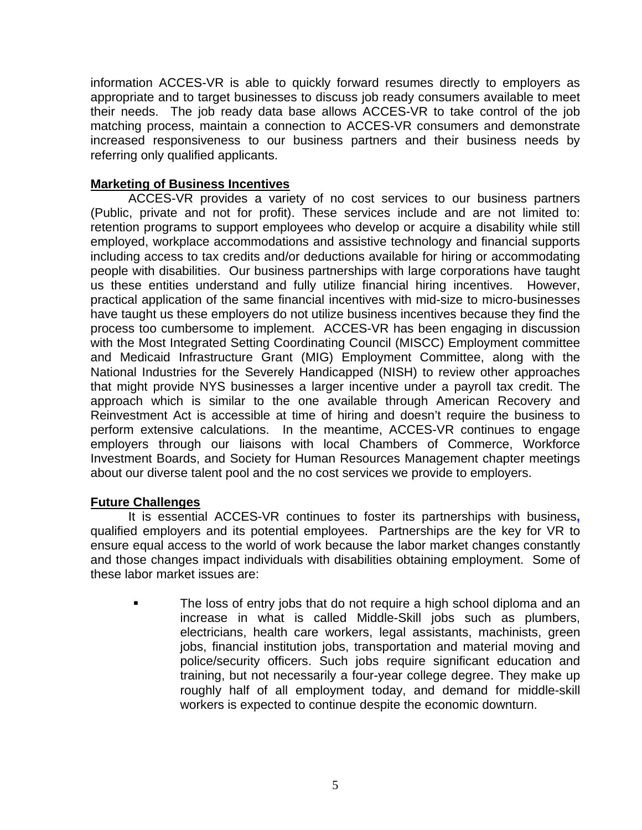information ACCES-VR is able to quickly forward resumes directly to employers as appropriate and to target businesses to discuss job ready consumers available to meet their needs. The job ready data base allows ACCES-VR to take control of the job matching process, maintain a connection to ACCES-VR consumers and demonstrate increased responsiveness to our business partners and their business needs by referring only qualified applicants.

### **Marketing of Business Incentives**

ACCES-VR provides a variety of no cost services to our business partners (Public, private and not for profit). These services include and are not limited to: retention programs to support employees who develop or acquire a disability while still employed, workplace accommodations and assistive technology and financial supports including access to tax credits and/or deductions available for hiring or accommodating people with disabilities. Our business partnerships with large corporations have taught us these entities understand and fully utilize financial hiring incentives. However, practical application of the same financial incentives with mid-size to micro-businesses have taught us these employers do not utilize business incentives because they find the process too cumbersome to implement. ACCES-VR has been engaging in discussion with the Most Integrated Setting Coordinating Council (MISCC) Employment committee and Medicaid Infrastructure Grant (MIG) Employment Committee, along with the National Industries for the Severely Handicapped (NISH) to review other approaches that might provide NYS businesses a larger incentive under a payroll tax credit. The approach which is similar to the one available through American Recovery and Reinvestment Act is accessible at time of hiring and doesn't require the business to perform extensive calculations. In the meantime, ACCES-VR continues to engage employers through our liaisons with local Chambers of Commerce, Workforce Investment Boards, and Society for Human Resources Management chapter meetings about our diverse talent pool and the no cost services we provide to employers.

### **Future Challenges**

It is essential ACCES-VR continues to foster its partnerships with business**,**  qualified employers and its potential employees. Partnerships are the key for VR to ensure equal access to the world of work because the labor market changes constantly and those changes impact individuals with disabilities obtaining employment. Some of these labor market issues are:

 The loss of entry jobs that do not require a high school diploma and an increase in what is called Middle-Skill jobs such as plumbers, electricians, health care workers, legal assistants, machinists, green jobs, financial institution jobs, transportation and material moving and police/security officers. Such jobs require significant education and training, but not necessarily a four-year college degree. They make up roughly half of all employment today, and demand for middle-skill workers is expected to continue despite the economic downturn.